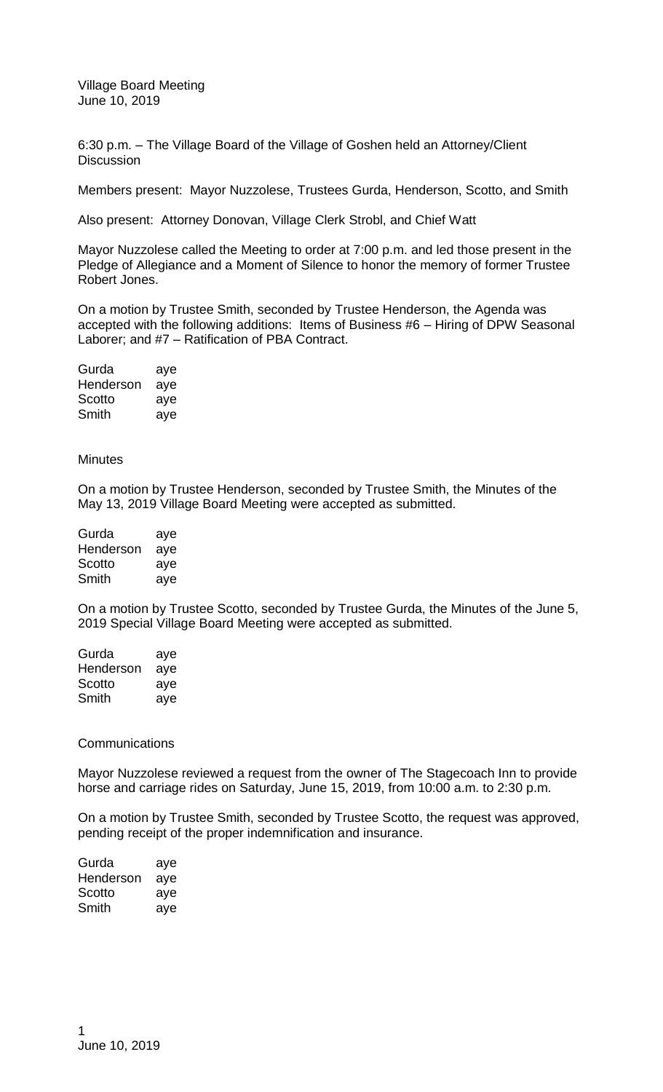Village Board Meeting June 10, 2019

6:30 p.m. – The Village Board of the Village of Goshen held an Attorney/Client **Discussion** 

Members present: Mayor Nuzzolese, Trustees Gurda, Henderson, Scotto, and Smith

Also present: Attorney Donovan, Village Clerk Strobl, and Chief Watt

Mayor Nuzzolese called the Meeting to order at 7:00 p.m. and led those present in the Pledge of Allegiance and a Moment of Silence to honor the memory of former Trustee Robert Jones.

On a motion by Trustee Smith, seconded by Trustee Henderson, the Agenda was accepted with the following additions: Items of Business #6 – Hiring of DPW Seasonal Laborer; and #7 – Ratification of PBA Contract.

| Gurda     | aye |
|-----------|-----|
| Henderson | aye |
| Scotto    | aye |
| Smith     | aye |

## **Minutes**

On a motion by Trustee Henderson, seconded by Trustee Smith, the Minutes of the May 13, 2019 Village Board Meeting were accepted as submitted.

| Gurda     | aye |
|-----------|-----|
| Henderson | aye |
| Scotto    | aye |
| Smith     | aye |

On a motion by Trustee Scotto, seconded by Trustee Gurda, the Minutes of the June 5, 2019 Special Village Board Meeting were accepted as submitted.

| Gurda     | aye |
|-----------|-----|
| Henderson | aye |
| Scotto    | aye |
| Smith     | aye |

## **Communications**

Mayor Nuzzolese reviewed a request from the owner of The Stagecoach Inn to provide horse and carriage rides on Saturday, June 15, 2019, from 10:00 a.m. to 2:30 p.m.

On a motion by Trustee Smith, seconded by Trustee Scotto, the request was approved, pending receipt of the proper indemnification and insurance.

| Gurda     | aye |
|-----------|-----|
| Henderson | aye |
| Scotto    | aye |
| Smith     | aye |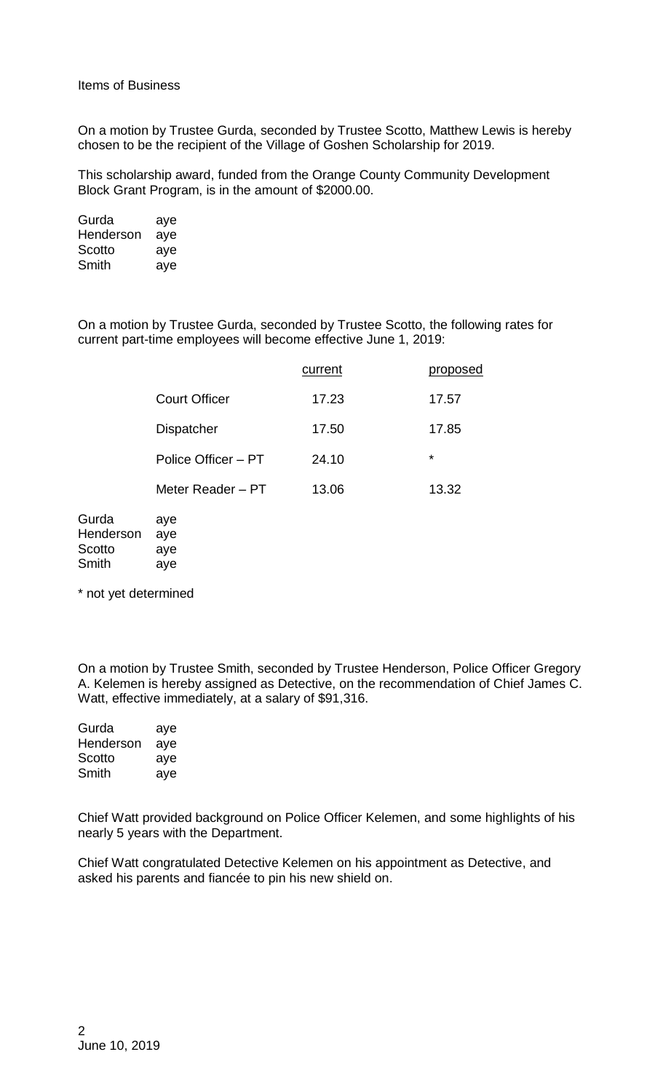On a motion by Trustee Gurda, seconded by Trustee Scotto, Matthew Lewis is hereby chosen to be the recipient of the Village of Goshen Scholarship for 2019.

This scholarship award, funded from the Orange County Community Development Block Grant Program, is in the amount of \$2000.00.

| Gurda     | aye |
|-----------|-----|
| Henderson | aye |
| Scotto    | aye |
| Smith     | aye |

On a motion by Trustee Gurda, seconded by Trustee Scotto, the following rates for current part-time employees will become effective June 1, 2019:

|                      | current | proposed |
|----------------------|---------|----------|
| <b>Court Officer</b> | 17.23   | 17.57    |
| <b>Dispatcher</b>    | 17.50   | 17.85    |
| Police Officer – PT  | 24.10   | $\star$  |
| Meter Reader - PT    | 13.06   | 13.32    |
|                      |         |          |

| Gurda     | aye |
|-----------|-----|
| Henderson | aye |
| Scotto    | aye |
| Smith     | aye |

\* not yet determined

On a motion by Trustee Smith, seconded by Trustee Henderson, Police Officer Gregory A. Kelemen is hereby assigned as Detective, on the recommendation of Chief James C. Watt, effective immediately, at a salary of \$91,316.

| Gurda     | aye |
|-----------|-----|
| Henderson | aye |
| Scotto    | aye |
| Smith     | aye |

Chief Watt provided background on Police Officer Kelemen, and some highlights of his nearly 5 years with the Department.

Chief Watt congratulated Detective Kelemen on his appointment as Detective, and asked his parents and fiancée to pin his new shield on.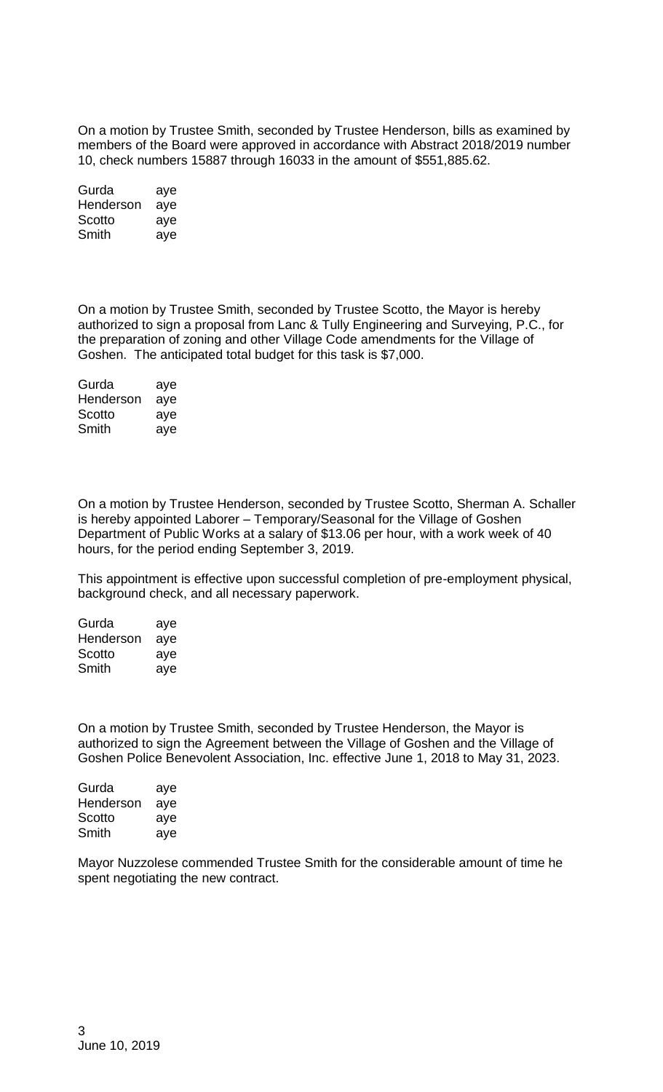On a motion by Trustee Smith, seconded by Trustee Henderson, bills as examined by members of the Board were approved in accordance with Abstract 2018/2019 number 10, check numbers 15887 through 16033 in the amount of \$551,885.62.

| Gurda     | aye |
|-----------|-----|
| Henderson | aye |
| Scotto    | aye |
| Smith     | aye |

On a motion by Trustee Smith, seconded by Trustee Scotto, the Mayor is hereby authorized to sign a proposal from Lanc & Tully Engineering and Surveying, P.C., for the preparation of zoning and other Village Code amendments for the Village of Goshen. The anticipated total budget for this task is \$7,000.

| Gurda     | aye |
|-----------|-----|
| Henderson | aye |
| Scotto    | aye |
| Smith     | aye |

On a motion by Trustee Henderson, seconded by Trustee Scotto, Sherman A. Schaller is hereby appointed Laborer – Temporary/Seasonal for the Village of Goshen Department of Public Works at a salary of \$13.06 per hour, with a work week of 40 hours, for the period ending September 3, 2019.

This appointment is effective upon successful completion of pre-employment physical, background check, and all necessary paperwork.

| Gurda     | aye |
|-----------|-----|
| Henderson | aye |
| Scotto    | aye |
| Smith     | aye |

On a motion by Trustee Smith, seconded by Trustee Henderson, the Mayor is authorized to sign the Agreement between the Village of Goshen and the Village of Goshen Police Benevolent Association, Inc. effective June 1, 2018 to May 31, 2023.

| Gurda     | aye |
|-----------|-----|
| Henderson | aye |
| Scotto    | aye |
| Smith     | aye |
|           |     |

Mayor Nuzzolese commended Trustee Smith for the considerable amount of time he spent negotiating the new contract.